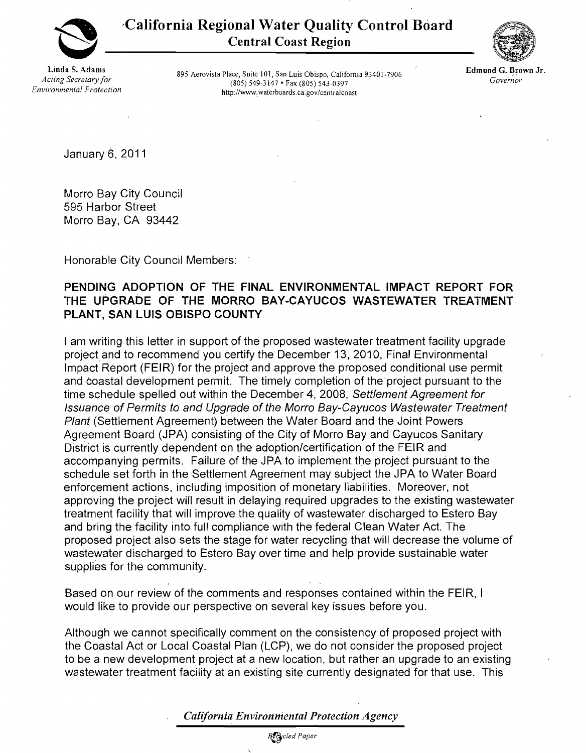

'California Regional Water Quality Control Board Central Coast Region

Linda S. Adams *Acting Secretary for Environmental Protection*

895 Aerovista Place, Suite 101, San Luis Obispo, California 93401-7906 (805) 549-3147 • Fax (805) 543-0397 http://www.waterboards.ca.gov/centralcoast



Edmund G. Brown Jr. *Govei'nor*

January 6, 2011

Morro Bay City Council 595 Harbor Street Morro Bay, CA 93442

Honorable City Council Members:

I

## PENDING ADOPTION OF THE FINAL ENVIRONMENTAL IMPACT REPORT FOR THE UPGRADE OF THE MORRO BAY-CAYUCOS WASTEWATER TREATMENT PLANT, SAN LUIS OBISPO COUNTY

I am writing this letter in support of the proposed wastewater treatment facility upgrade project and to recommend you certify the December 13, 2010, Final Environmental Impact Report (FEIR) for the project and approve the proposed conditional use permit and coastal development permit. The timely completion of the project pursuant to the time schedule spelled out within the December 4, 2008, Settlement Agreement for Issuance of Permits to and Upgrade of the Morro Bay-Cayucos Wastewater Treatment Plant (Settlement Agreement) between the Water Board and the Joint Powers Agreement Board (JPA) consisting of the City of Morro Bay and Cayucos Sanitary District is currently dependent on the adoption/certification of the FEIR and accompanying permits. Failure of the JPA to implement the project pursuant to the schedule set forth in the Settlement Agreement may subject the JPA to Water Board enforcement actions, including imposition of monetary liabilities. Moreover, not approving the project will result in delaying required upgrades to the existing wastewater treatment facility that will improve the quality of wastewater discharged to Estero Bay and bring the facility into full compliance with the federal Clean Water Act. The proposed project also sets the stage for water recycling that will decrease the volume of wastewater discharged to Estero Bay over time and help provide sustainable water supplies for the community.

Based on our review of the comments and responses contained within the FEIR, I would like to provide our perspective on several key issues before you.

Although we cannot specifically comment on the consistency of proposed project with the Coastal Act or Local Coastal Plan (LCP), we do not consider the proposed project to be a new development project at a new location, but rather an upgrade to an existing wastewater treatment facility at an existing site currently designated for that use. This

*California Environniental Protection Agency*

 $R$ <sup>c</sup>led Paper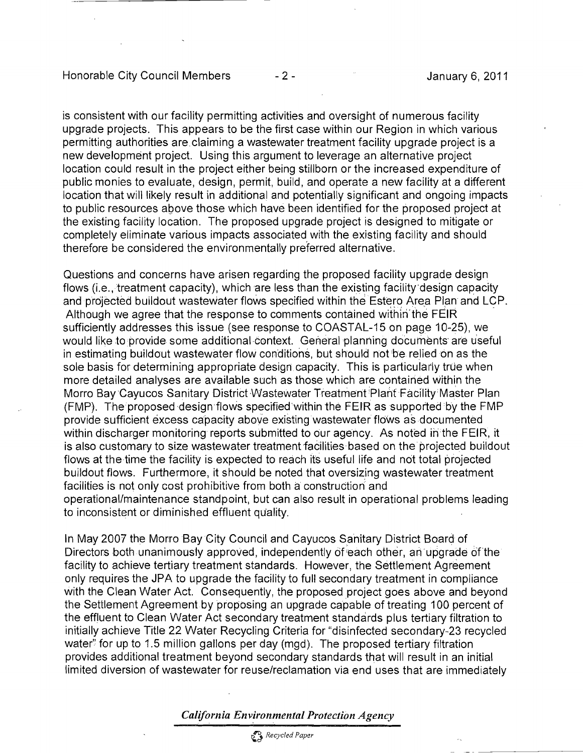is consistent with our facility permitting activities and oversight of numerous facility upgrade projects. This appears to be the first case within our Region in which various permitting authorities are claiming a wastewater treatment facility upgrade project is a new development project. Using this argument to leverage an alternative project location could result in the project either being stillborn or the increased expenditure of public monies to evaluate, design, permit. build, and operate a new facility at a different location that will likely result in additional and potentially significant and ongoing impacts to public resources above those which have been identified for the proposed project at the existing facility location. The proposed upgrade project is designed to mitigate or completely eliminate various impacts associated with the existing facility and should therefore be considered the environmentally preferred alternative.

Questions and concerns have arisen regarding the proposed facility upgrade design flows (i.e., treatment capacity), which are less than the existing facility design capacity and projected buildout wastewater flows specified within the Estero Area Plan and LCP. Although we agree that the response to comments contained within the FEIR sufficiently addresses this issue (see response to COASTAL-15 on page 10-25), we would like to provide some additional context. General planning documents' are u'seful in estimating buildout wastewater flow conditions, but should not'be relied on as the sole basis for determining appropriate design capacity. This is particularly true when more detailed analyses are available such as those which are contained within the Morro Bay Cayucos Sanitary District Wastewater Treatment Plant Facility Master Plan  $(FMP)$ . The proposed design flows specified within the FEIR as supported by the FMP provide sufficient excess capacity above existing wastewater flows as documented within discharger monitoring reports submitted to our agency. As noted in the FEIR, it is also customary to size wastewater treatment facilities based on the projected buildout flows at the time the facility is expected to reach its useful life and not total projected buildout flows. Furthermore, it should be noted that oversizing wastewater treatment facilities is not only cost prohibitive from both a construction and operational/maintenance standpoint, but can also result in operational problems leading to inconsistent or diminished effluent quality.

In May 2007 the Morro Bay City Council and Cayucos Sanitary District Board of Directors both unanimously approved, independently of each other, an upgrade of the facility to achieve tertiary treatment standards. However, the Settlement Agreement only requires the JPA to upgrade the facility to full secondary treatment in compliance with the Clean Water Act. Consequently, the proposed project goes above and beyond the Settlement Agreement by proposing an upgrade capable of treating 100 percent of the effluent to Clean Water Act secondary treatment standards plus tertiary filtration to initially achieve Title 22 Water Recycling Criteria for "disinfected secondary-23 recycled water" for up to 1.5 million gallons per day (mgd). The proposed tertiary filtration provides additional treatment beyond secondary standards that will result in an initial limited diversion of wastewater for reuse/reclamation via end uses that are immediately

*California Environmental Protection Agency*

o *Recycled Paper*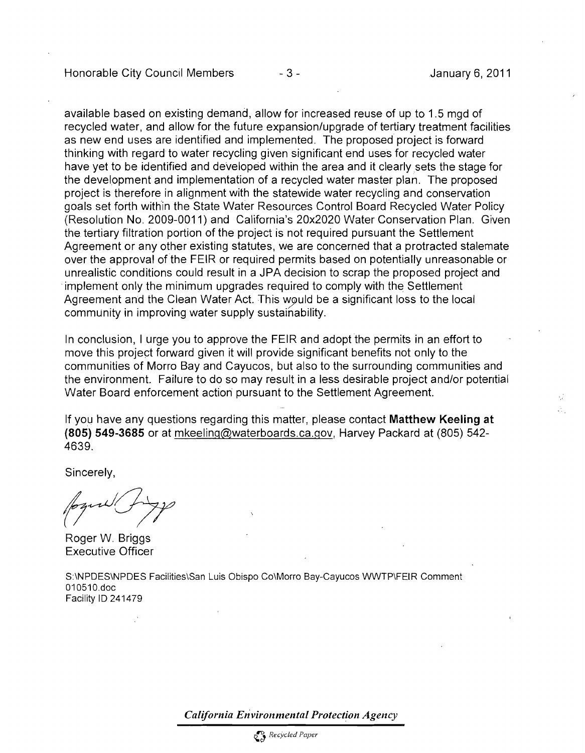Honorable City Council Members 4. 3 - 1999 - 3 - 1999 January 6, 2011

available based on existing demand, allow for increased reuse of up to 1.5 mgd of recycled water, and allow for the future expansion/upgrade of tertiary treatment facilities as new end uses are identified and implemented. The proposed project is forward thinking with regard to water recycling given significant end uses for recycled water have yet to be identified and deVeloped within the area and it clearly sets the stage for the development and implementation of a recycled water master plan. The proposed project is therefore in alignment with the statewide water recycling and conservation goals set forth within the State Water Resources Control Board Recycled Water Policy (Resolution No. 2009-0011) and California's 20x2020 Water Conservation Plan. Given the tertiary filtration portion of the project is not required pursuant the Settlement Agreement or any other existing statutes, we are concerned that a protracted stalemate over the approval of the FEIR or required permits based on potentially unreasonable or unrealistic conditions could result in a JPA decision to scrap the proposed project and .implement only the minimum upgrades required to comply with the Settlement Agreement and the Clean Water Act. This would be a significant loss to the local community in improving water supply sustainability.

In conclusion, I urge you to approve the FEIR and adopt the permits in an effort to move this project forward given it will provide significant benefits not only to the communities of Morro Bay and Cayucos, but also to the surrounding communities and the environment. Failure to do so may result in a less desirable project and/or potential Water Board enforcement action pursuant to the Settlement Agreement.

If you have any questions regarding this matter, please contact **Matthew Keeling at (805) 549-3685** or at mkeeling@waterboards.ca.gov, Harvey Packard at (805) 542- 4639.

Sincerely,

Roger W. Briggs Executive Officer

S:\NPOES\NPOES Facilities\San Luis Obispo Co\Morro Bay-Cayucos WWTP\FEIR Comment 010510.doc Facility 10 241479

*California Environmental Protection Agency*